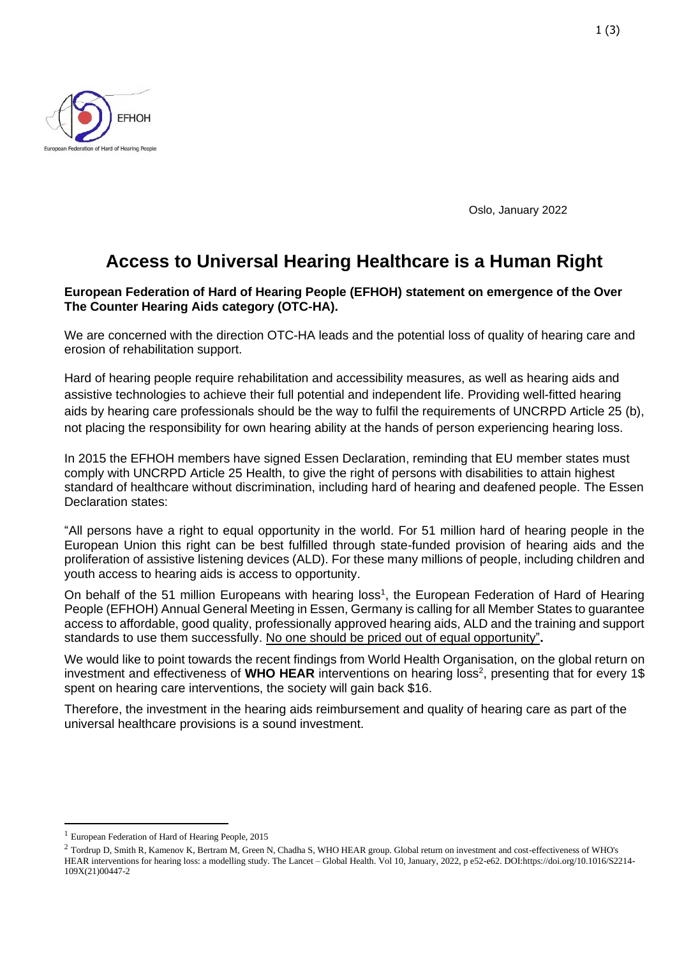

Oslo, January 2022

# **Access to Universal Hearing Healthcare is a Human Right**

#### **European Federation of Hard of Hearing People (EFHOH) statement on emergence of the Over The Counter Hearing Aids category (OTC-HA).**

We are concerned with the direction OTC-HA leads and the potential loss of quality of hearing care and erosion of rehabilitation support.

Hard of hearing people require rehabilitation and accessibility measures, as well as hearing aids and assistive technologies to achieve their full potential and independent life. Providing well-fitted hearing aids by hearing care professionals should be the way to fulfil the requirements of UNCRPD Article 25 (b), not placing the responsibility for own hearing ability at the hands of person experiencing hearing loss.

In 2015 the EFHOH members have signed Essen Declaration, reminding that EU member states must comply with UNCRPD Article 25 Health, to give the right of persons with disabilities to attain highest standard of healthcare without discrimination, including hard of hearing and deafened people. The Essen Declaration states:

"All persons have a right to equal opportunity in the world. For 51 million hard of hearing people in the European Union this right can be best fulfilled through state-funded provision of hearing aids and the proliferation of assistive listening devices (ALD). For these many millions of people, including children and youth access to hearing aids is access to opportunity.

On behalf of the 51 million Europeans with hearing loss<sup>1</sup>, the European Federation of Hard of Hearing People (EFHOH) Annual General Meeting in Essen, Germany is calling for all Member States to guarantee access to affordable, good quality, professionally approved hearing aids, ALD and the training and support standards to use them successfully. No one should be priced out of equal opportunity"**.**

We would like to point towards the recent findings from World Health Organisation, on the global return on investment and effectiveness of WHO HEAR interventions on hearing loss<sup>2</sup>, presenting that for every 1\$ spent on hearing care interventions, the society will gain back \$16.

Therefore, the investment in the hearing aids reimbursement and quality of hearing care as part of the universal healthcare provisions is a sound investment.

<sup>1</sup> European Federation of Hard of Hearing People, 2015

<sup>&</sup>lt;sup>2</sup> Tordrup D, Smith R, Kamenov K, Bertram M, Green N, Chadha S, WHO HEAR group. Global return on investment and cost-effectiveness of WHO's HEAR interventions for hearing loss: a modelling study. The Lancet – Global Health. Vol 10, January, 2022, p e52-e62. DOI:https://doi.org/10.1016/S2214- 109X(21)00447-2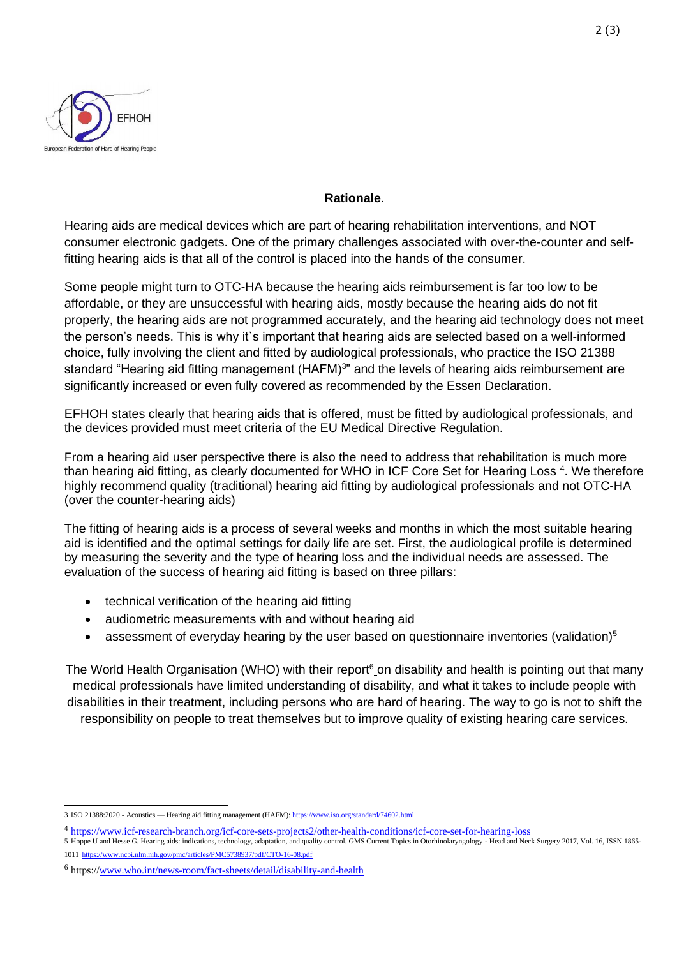

#### **Rationale**.

Hearing aids are medical devices which are part of hearing rehabilitation interventions, and NOT consumer electronic gadgets. One of the primary challenges associated with over-the-counter and selffitting hearing aids is that all of the control is placed into the hands of the consumer.

Some people might turn to OTC-HA because the hearing aids reimbursement is far too low to be affordable, or they are unsuccessful with hearing aids, mostly because the hearing aids do not fit properly, the hearing aids are not programmed accurately, and the hearing aid technology does not meet the person's needs. This is why it`s important that hearing aids are selected based on a well-informed choice, fully involving the client and fitted by audiological professionals, who practice the ISO 21388 standard "Hearing aid fitting management (HAFM)<sup>3"</sup> and the levels of hearing aids reimbursement are significantly increased or even fully covered as recommended by the Essen Declaration.

EFHOH states clearly that hearing aids that is offered, must be fitted by audiological professionals, and the devices provided must meet criteria of the EU Medical Directive Regulation.

From a hearing aid user perspective there is also the need to address that rehabilitation is much more than hearing aid fitting, as clearly documented for WHO in ICF Core Set for Hearing Loss<sup>4</sup>. We therefore highly recommend quality (traditional) hearing aid fitting by audiological professionals and not OTC-HA (over the counter-hearing aids)

The fitting of hearing aids is a process of several weeks and months in which the most suitable hearing aid is identified and the optimal settings for daily life are set. First, the audiological profile is determined by measuring the severity and the type of hearing loss and the individual needs are assessed. The evaluation of the success of hearing aid fitting is based on three pillars:

- technical verification of the hearing aid fitting
- audiometric measurements with and without hearing aid
- assessment of everyday hearing by the user based on questionnaire inventories (validation) $5$

The World Health Organisation (WHO) with their report<sup>6</sup> on disability and health is pointing out that many medical professionals have limited understanding of disability, and what it takes to include people with disabilities in their treatment, including persons who are hard of hearing. The way to go is not to shift the responsibility on people to treat themselves but to improve quality of existing hearing care services.

<sup>3</sup> ISO 21388:2020 - Acoustics — Hearing aid fitting management (HAFM)[: https://www.iso.org/standard/74602.html](https://www.iso.org/standard/74602.html)

<sup>4</sup> <https://www.icf-research-branch.org/icf-core-sets-projects2/other-health-conditions/icf-core-set-for-hearing-loss>

<sup>5</sup> Hoppe U and Hesse G. Hearing aids: indications, technology, adaptation, and quality control. GMS Current Topics in Otorhinolaryngology - Head and Neck Surgery 2017, Vol. 16, ISSN 1865- 1011 <https://www.ncbi.nlm.nih.gov/pmc/articles/PMC5738937/pdf/CTO-16-08.pdf>

<sup>6</sup> https:/[/www.who.int/news-room/fact-sheets/detail/disability-and-health](file:///C:/Users/User/Desktop/www.who.int/news-room/fact-sheets/detail/disability-and-health)